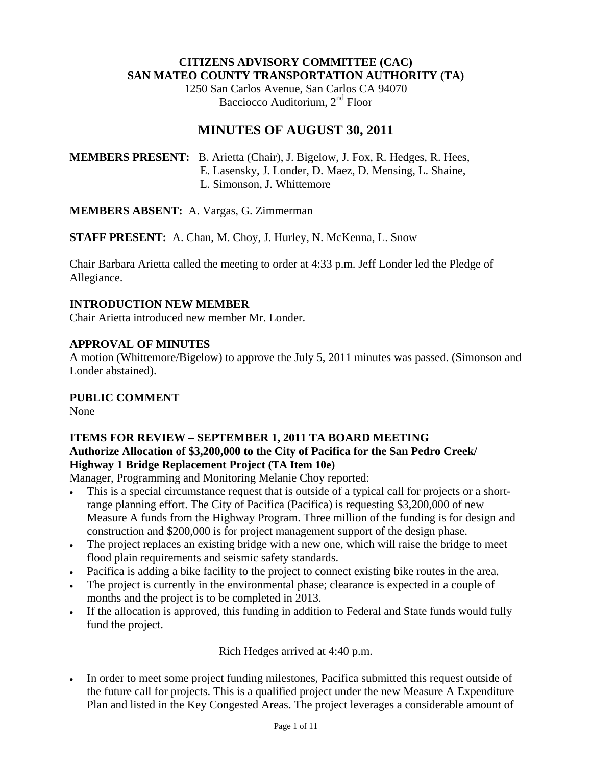#### **CITIZENS ADVISORY COMMITTEE (CAC) SAN MATEO COUNTY TRANSPORTATION AUTHORITY (TA)**

1250 San Carlos Avenue, San Carlos CA 94070 Bacciocco Auditorium, 2<sup>nd</sup> Floor

# **MINUTES OF AUGUST 30, 2011**

**MEMBERS PRESENT:** B. Arietta (Chair), J. Bigelow, J. Fox, R. Hedges, R. Hees, E. Lasensky, J. Londer, D. Maez, D. Mensing, L. Shaine, L. Simonson, J. Whittemore

**MEMBERS ABSENT:** A. Vargas, G. Zimmerman

**STAFF PRESENT:** A. Chan, M. Choy, J. Hurley, N. McKenna, L. Snow

Chair Barbara Arietta called the meeting to order at 4:33 p.m. Jeff Londer led the Pledge of Allegiance.

# **INTRODUCTION NEW MEMBER**

Chair Arietta introduced new member Mr. Londer.

# **APPROVAL OF MINUTES**

A motion (Whittemore/Bigelow) to approve the July 5, 2011 minutes was passed. (Simonson and Londer abstained).

#### **PUBLIC COMMENT**

None

# **ITEMS FOR REVIEW – SEPTEMBER 1, 2011 TA BOARD MEETING Authorize Allocation of \$3,200,000 to the City of Pacifica for the San Pedro Creek/ Highway 1 Bridge Replacement Project (TA Item 10e)**

Manager, Programming and Monitoring Melanie Choy reported:

- This is a special circumstance request that is outside of a typical call for projects or a shortrange planning effort. The City of Pacifica (Pacifica) is requesting \$3,200,000 of new Measure A funds from the Highway Program. Three million of the funding is for design and construction and \$200,000 is for project management support of the design phase.
- The project replaces an existing bridge with a new one, which will raise the bridge to meet flood plain requirements and seismic safety standards.
- Pacifica is adding a bike facility to the project to connect existing bike routes in the area.
- The project is currently in the environmental phase; clearance is expected in a couple of months and the project is to be completed in 2013.
- If the allocation is approved, this funding in addition to Federal and State funds would fully fund the project.

Rich Hedges arrived at 4:40 p.m.

• In order to meet some project funding milestones, Pacifica submitted this request outside of the future call for projects. This is a qualified project under the new Measure A Expenditure Plan and listed in the Key Congested Areas. The project leverages a considerable amount of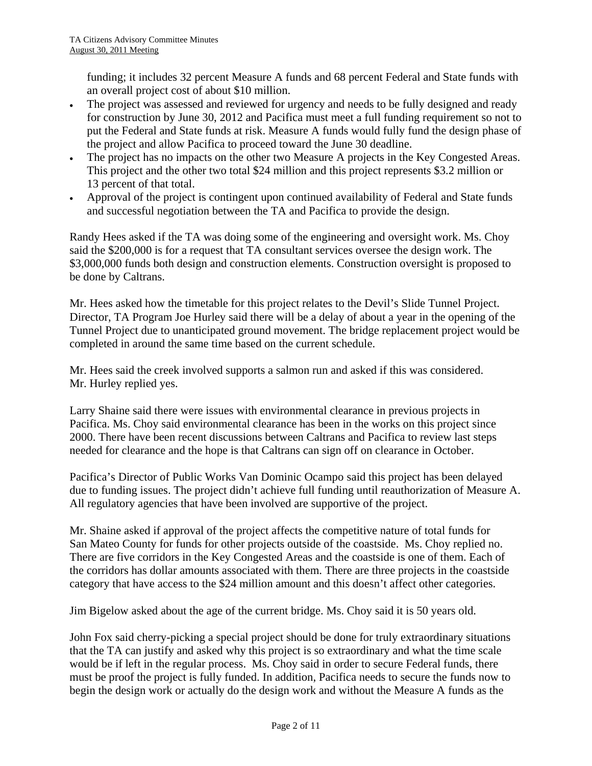funding; it includes 32 percent Measure A funds and 68 percent Federal and State funds with an overall project cost of about \$10 million.

- The project was assessed and reviewed for urgency and needs to be fully designed and ready for construction by June 30, 2012 and Pacifica must meet a full funding requirement so not to put the Federal and State funds at risk. Measure A funds would fully fund the design phase of the project and allow Pacifica to proceed toward the June 30 deadline.
- The project has no impacts on the other two Measure A projects in the Key Congested Areas. This project and the other two total \$24 million and this project represents \$3.2 million or 13 percent of that total.
- Approval of the project is contingent upon continued availability of Federal and State funds and successful negotiation between the TA and Pacifica to provide the design.

Randy Hees asked if the TA was doing some of the engineering and oversight work. Ms. Choy said the \$200,000 is for a request that TA consultant services oversee the design work. The \$3,000,000 funds both design and construction elements. Construction oversight is proposed to be done by Caltrans.

Mr. Hees asked how the timetable for this project relates to the Devil's Slide Tunnel Project. Director, TA Program Joe Hurley said there will be a delay of about a year in the opening of the Tunnel Project due to unanticipated ground movement. The bridge replacement project would be completed in around the same time based on the current schedule.

Mr. Hees said the creek involved supports a salmon run and asked if this was considered. Mr. Hurley replied yes.

Larry Shaine said there were issues with environmental clearance in previous projects in Pacifica. Ms. Choy said environmental clearance has been in the works on this project since 2000. There have been recent discussions between Caltrans and Pacifica to review last steps needed for clearance and the hope is that Caltrans can sign off on clearance in October.

Pacifica's Director of Public Works Van Dominic Ocampo said this project has been delayed due to funding issues. The project didn't achieve full funding until reauthorization of Measure A. All regulatory agencies that have been involved are supportive of the project.

Mr. Shaine asked if approval of the project affects the competitive nature of total funds for San Mateo County for funds for other projects outside of the coastside. Ms. Choy replied no. There are five corridors in the Key Congested Areas and the coastside is one of them. Each of the corridors has dollar amounts associated with them. There are three projects in the coastside category that have access to the \$24 million amount and this doesn't affect other categories.

Jim Bigelow asked about the age of the current bridge. Ms. Choy said it is 50 years old.

John Fox said cherry-picking a special project should be done for truly extraordinary situations that the TA can justify and asked why this project is so extraordinary and what the time scale would be if left in the regular process. Ms. Choy said in order to secure Federal funds, there must be proof the project is fully funded. In addition, Pacifica needs to secure the funds now to begin the design work or actually do the design work and without the Measure A funds as the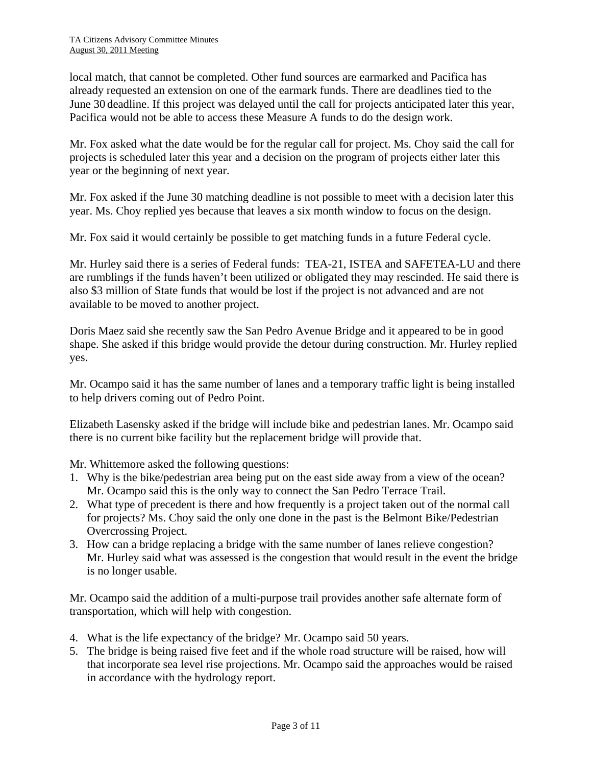local match, that cannot be completed. Other fund sources are earmarked and Pacifica has already requested an extension on one of the earmark funds. There are deadlines tied to the June 30 deadline. If this project was delayed until the call for projects anticipated later this year, Pacifica would not be able to access these Measure A funds to do the design work.

Mr. Fox asked what the date would be for the regular call for project. Ms. Choy said the call for projects is scheduled later this year and a decision on the program of projects either later this year or the beginning of next year.

Mr. Fox asked if the June 30 matching deadline is not possible to meet with a decision later this year. Ms. Choy replied yes because that leaves a six month window to focus on the design.

Mr. Fox said it would certainly be possible to get matching funds in a future Federal cycle.

Mr. Hurley said there is a series of Federal funds: TEA-21, ISTEA and SAFETEA-LU and there are rumblings if the funds haven't been utilized or obligated they may rescinded. He said there is also \$3 million of State funds that would be lost if the project is not advanced and are not available to be moved to another project.

Doris Maez said she recently saw the San Pedro Avenue Bridge and it appeared to be in good shape. She asked if this bridge would provide the detour during construction. Mr. Hurley replied yes.

Mr. Ocampo said it has the same number of lanes and a temporary traffic light is being installed to help drivers coming out of Pedro Point.

Elizabeth Lasensky asked if the bridge will include bike and pedestrian lanes. Mr. Ocampo said there is no current bike facility but the replacement bridge will provide that.

Mr. Whittemore asked the following questions:

- 1. Why is the bike/pedestrian area being put on the east side away from a view of the ocean? Mr. Ocampo said this is the only way to connect the San Pedro Terrace Trail.
- 2. What type of precedent is there and how frequently is a project taken out of the normal call for projects? Ms. Choy said the only one done in the past is the Belmont Bike/Pedestrian Overcrossing Project.
- 3. How can a bridge replacing a bridge with the same number of lanes relieve congestion? Mr. Hurley said what was assessed is the congestion that would result in the event the bridge is no longer usable.

Mr. Ocampo said the addition of a multi-purpose trail provides another safe alternate form of transportation, which will help with congestion.

- 4. What is the life expectancy of the bridge? Mr. Ocampo said 50 years.
- 5. The bridge is being raised five feet and if the whole road structure will be raised, how will that incorporate sea level rise projections. Mr. Ocampo said the approaches would be raised in accordance with the hydrology report.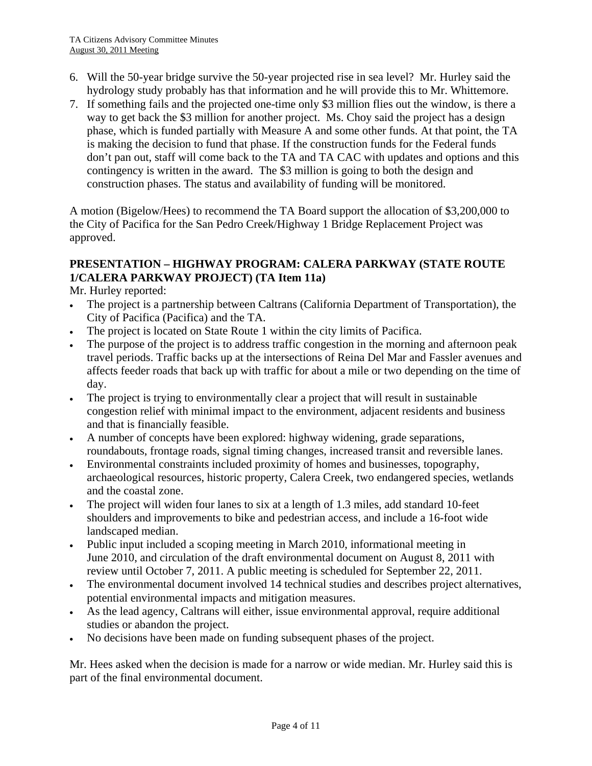- 6. Will the 50-year bridge survive the 50-year projected rise in sea level? Mr. Hurley said the hydrology study probably has that information and he will provide this to Mr. Whittemore.
- 7. If something fails and the projected one-time only \$3 million flies out the window, is there a way to get back the \$3 million for another project. Ms. Choy said the project has a design phase, which is funded partially with Measure A and some other funds. At that point, the TA is making the decision to fund that phase. If the construction funds for the Federal funds don't pan out, staff will come back to the TA and TA CAC with updates and options and this contingency is written in the award. The \$3 million is going to both the design and construction phases. The status and availability of funding will be monitored.

A motion (Bigelow/Hees) to recommend the TA Board support the allocation of \$3,200,000 to the City of Pacifica for the San Pedro Creek/Highway 1 Bridge Replacement Project was approved.

# **PRESENTATION – HIGHWAY PROGRAM: CALERA PARKWAY (STATE ROUTE 1/CALERA PARKWAY PROJECT) (TA Item 11a)**

Mr. Hurley reported:

- The project is a partnership between Caltrans (California Department of Transportation), the City of Pacifica (Pacifica) and the TA.
- The project is located on State Route 1 within the city limits of Pacifica.
- The purpose of the project is to address traffic congestion in the morning and afternoon peak travel periods. Traffic backs up at the intersections of Reina Del Mar and Fassler avenues and affects feeder roads that back up with traffic for about a mile or two depending on the time of day.
- The project is trying to environmentally clear a project that will result in sustainable congestion relief with minimal impact to the environment, adjacent residents and business and that is financially feasible.
- A number of concepts have been explored: highway widening, grade separations, roundabouts, frontage roads, signal timing changes, increased transit and reversible lanes.
- Environmental constraints included proximity of homes and businesses, topography, archaeological resources, historic property, Calera Creek, two endangered species, wetlands and the coastal zone.
- The project will widen four lanes to six at a length of 1.3 miles, add standard 10-feet shoulders and improvements to bike and pedestrian access, and include a 16-foot wide landscaped median.
- Public input included a scoping meeting in March 2010, informational meeting in June 2010, and circulation of the draft environmental document on August 8, 2011 with review until October 7, 2011. A public meeting is scheduled for September 22, 2011.
- The environmental document involved 14 technical studies and describes project alternatives, potential environmental impacts and mitigation measures.
- As the lead agency, Caltrans will either, issue environmental approval, require additional studies or abandon the project.
- No decisions have been made on funding subsequent phases of the project.

Mr. Hees asked when the decision is made for a narrow or wide median. Mr. Hurley said this is part of the final environmental document.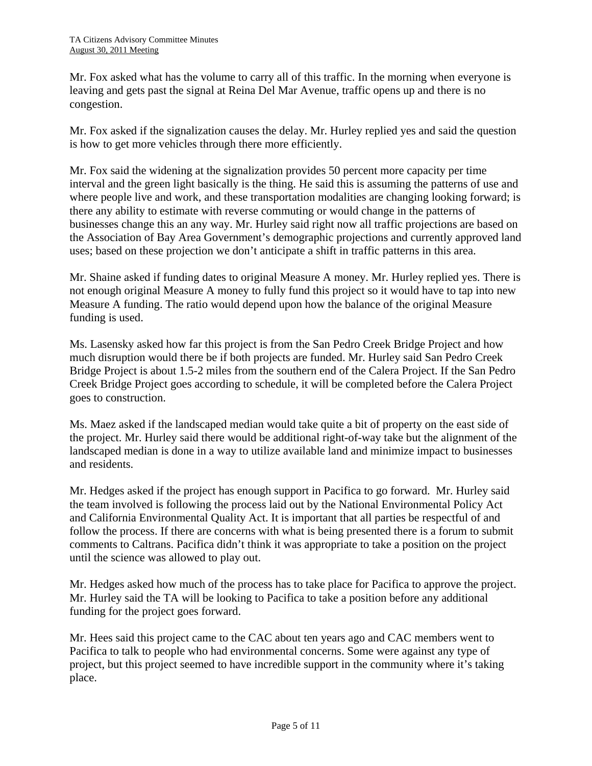Mr. Fox asked what has the volume to carry all of this traffic. In the morning when everyone is leaving and gets past the signal at Reina Del Mar Avenue, traffic opens up and there is no congestion.

Mr. Fox asked if the signalization causes the delay. Mr. Hurley replied yes and said the question is how to get more vehicles through there more efficiently.

Mr. Fox said the widening at the signalization provides 50 percent more capacity per time interval and the green light basically is the thing. He said this is assuming the patterns of use and where people live and work, and these transportation modalities are changing looking forward; is there any ability to estimate with reverse commuting or would change in the patterns of businesses change this an any way. Mr. Hurley said right now all traffic projections are based on the Association of Bay Area Government's demographic projections and currently approved land uses; based on these projection we don't anticipate a shift in traffic patterns in this area.

Mr. Shaine asked if funding dates to original Measure A money. Mr. Hurley replied yes. There is not enough original Measure A money to fully fund this project so it would have to tap into new Measure A funding. The ratio would depend upon how the balance of the original Measure funding is used.

Ms. Lasensky asked how far this project is from the San Pedro Creek Bridge Project and how much disruption would there be if both projects are funded. Mr. Hurley said San Pedro Creek Bridge Project is about 1.5-2 miles from the southern end of the Calera Project. If the San Pedro Creek Bridge Project goes according to schedule, it will be completed before the Calera Project goes to construction.

Ms. Maez asked if the landscaped median would take quite a bit of property on the east side of the project. Mr. Hurley said there would be additional right-of-way take but the alignment of the landscaped median is done in a way to utilize available land and minimize impact to businesses and residents.

Mr. Hedges asked if the project has enough support in Pacifica to go forward. Mr. Hurley said the team involved is following the process laid out by the National Environmental Policy Act and California Environmental Quality Act. It is important that all parties be respectful of and follow the process. If there are concerns with what is being presented there is a forum to submit comments to Caltrans. Pacifica didn't think it was appropriate to take a position on the project until the science was allowed to play out.

Mr. Hedges asked how much of the process has to take place for Pacifica to approve the project. Mr. Hurley said the TA will be looking to Pacifica to take a position before any additional funding for the project goes forward.

Mr. Hees said this project came to the CAC about ten years ago and CAC members went to Pacifica to talk to people who had environmental concerns. Some were against any type of project, but this project seemed to have incredible support in the community where it's taking place.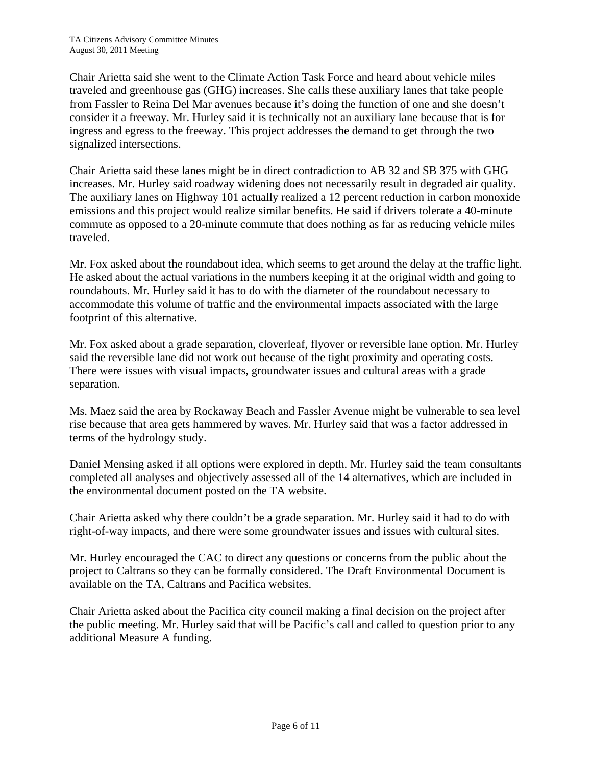Chair Arietta said she went to the Climate Action Task Force and heard about vehicle miles traveled and greenhouse gas (GHG) increases. She calls these auxiliary lanes that take people from Fassler to Reina Del Mar avenues because it's doing the function of one and she doesn't consider it a freeway. Mr. Hurley said it is technically not an auxiliary lane because that is for ingress and egress to the freeway. This project addresses the demand to get through the two signalized intersections.

Chair Arietta said these lanes might be in direct contradiction to AB 32 and SB 375 with GHG increases. Mr. Hurley said roadway widening does not necessarily result in degraded air quality. The auxiliary lanes on Highway 101 actually realized a 12 percent reduction in carbon monoxide emissions and this project would realize similar benefits. He said if drivers tolerate a 40-minute commute as opposed to a 20-minute commute that does nothing as far as reducing vehicle miles traveled.

Mr. Fox asked about the roundabout idea, which seems to get around the delay at the traffic light. He asked about the actual variations in the numbers keeping it at the original width and going to roundabouts. Mr. Hurley said it has to do with the diameter of the roundabout necessary to accommodate this volume of traffic and the environmental impacts associated with the large footprint of this alternative.

Mr. Fox asked about a grade separation, cloverleaf, flyover or reversible lane option. Mr. Hurley said the reversible lane did not work out because of the tight proximity and operating costs. There were issues with visual impacts, groundwater issues and cultural areas with a grade separation.

Ms. Maez said the area by Rockaway Beach and Fassler Avenue might be vulnerable to sea level rise because that area gets hammered by waves. Mr. Hurley said that was a factor addressed in terms of the hydrology study.

Daniel Mensing asked if all options were explored in depth. Mr. Hurley said the team consultants completed all analyses and objectively assessed all of the 14 alternatives, which are included in the environmental document posted on the TA website.

Chair Arietta asked why there couldn't be a grade separation. Mr. Hurley said it had to do with right-of-way impacts, and there were some groundwater issues and issues with cultural sites.

Mr. Hurley encouraged the CAC to direct any questions or concerns from the public about the project to Caltrans so they can be formally considered. The Draft Environmental Document is available on the TA, Caltrans and Pacifica websites.

Chair Arietta asked about the Pacifica city council making a final decision on the project after the public meeting. Mr. Hurley said that will be Pacific's call and called to question prior to any additional Measure A funding.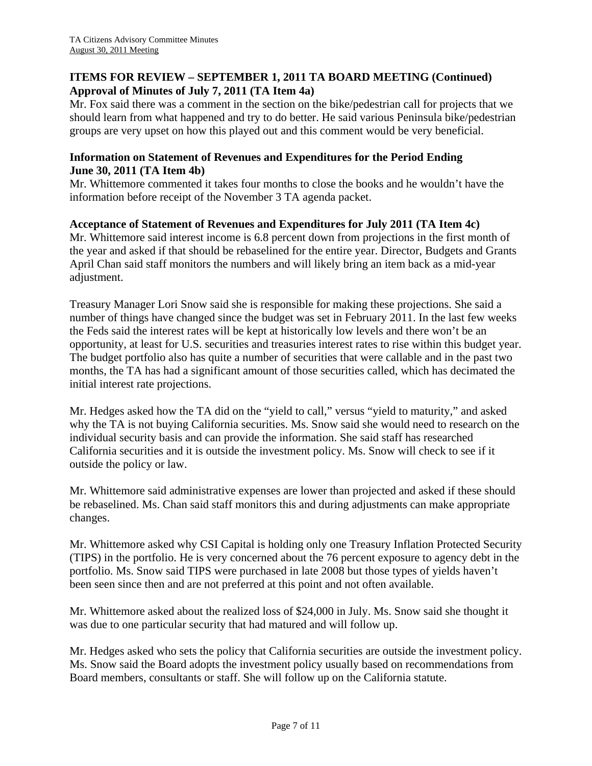# **ITEMS FOR REVIEW – SEPTEMBER 1, 2011 TA BOARD MEETING (Continued) Approval of Minutes of July 7, 2011 (TA Item 4a)**

Mr. Fox said there was a comment in the section on the bike/pedestrian call for projects that we should learn from what happened and try to do better. He said various Peninsula bike/pedestrian groups are very upset on how this played out and this comment would be very beneficial.

### **Information on Statement of Revenues and Expenditures for the Period Ending June 30, 2011 (TA Item 4b)**

Mr. Whittemore commented it takes four months to close the books and he wouldn't have the information before receipt of the November 3 TA agenda packet.

# **Acceptance of Statement of Revenues and Expenditures for July 2011 (TA Item 4c)**

Mr. Whittemore said interest income is 6.8 percent down from projections in the first month of the year and asked if that should be rebaselined for the entire year. Director, Budgets and Grants April Chan said staff monitors the numbers and will likely bring an item back as a mid-year adjustment.

Treasury Manager Lori Snow said she is responsible for making these projections. She said a number of things have changed since the budget was set in February 2011. In the last few weeks the Feds said the interest rates will be kept at historically low levels and there won't be an opportunity, at least for U.S. securities and treasuries interest rates to rise within this budget year. The budget portfolio also has quite a number of securities that were callable and in the past two months, the TA has had a significant amount of those securities called, which has decimated the initial interest rate projections.

Mr. Hedges asked how the TA did on the "yield to call," versus "yield to maturity," and asked why the TA is not buying California securities. Ms. Snow said she would need to research on the individual security basis and can provide the information. She said staff has researched California securities and it is outside the investment policy. Ms. Snow will check to see if it outside the policy or law.

Mr. Whittemore said administrative expenses are lower than projected and asked if these should be rebaselined. Ms. Chan said staff monitors this and during adjustments can make appropriate changes.

Mr. Whittemore asked why CSI Capital is holding only one Treasury Inflation Protected Security (TIPS) in the portfolio. He is very concerned about the 76 percent exposure to agency debt in the portfolio. Ms. Snow said TIPS were purchased in late 2008 but those types of yields haven't been seen since then and are not preferred at this point and not often available.

Mr. Whittemore asked about the realized loss of \$24,000 in July. Ms. Snow said she thought it was due to one particular security that had matured and will follow up.

Mr. Hedges asked who sets the policy that California securities are outside the investment policy. Ms. Snow said the Board adopts the investment policy usually based on recommendations from Board members, consultants or staff. She will follow up on the California statute.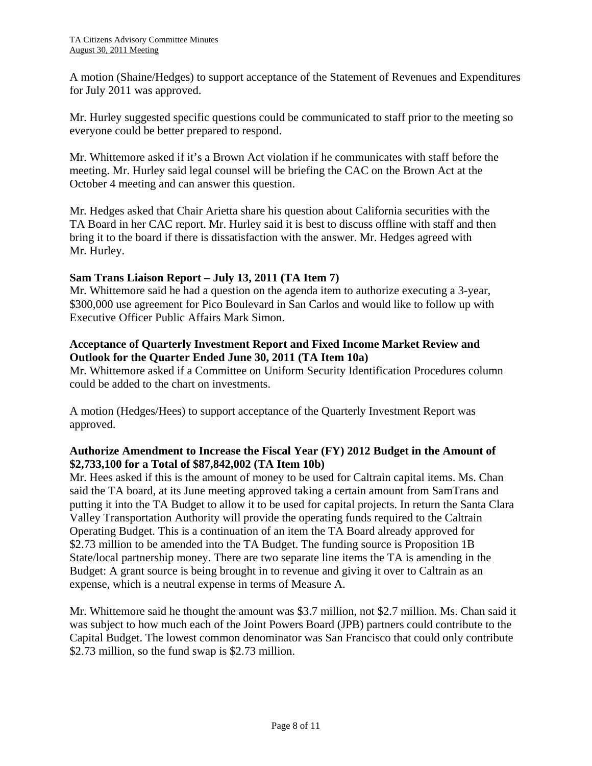A motion (Shaine/Hedges) to support acceptance of the Statement of Revenues and Expenditures for July 2011 was approved.

Mr. Hurley suggested specific questions could be communicated to staff prior to the meeting so everyone could be better prepared to respond.

Mr. Whittemore asked if it's a Brown Act violation if he communicates with staff before the meeting. Mr. Hurley said legal counsel will be briefing the CAC on the Brown Act at the October 4 meeting and can answer this question.

Mr. Hedges asked that Chair Arietta share his question about California securities with the TA Board in her CAC report. Mr. Hurley said it is best to discuss offline with staff and then bring it to the board if there is dissatisfaction with the answer. Mr. Hedges agreed with Mr. Hurley.

# **Sam Trans Liaison Report – July 13, 2011 (TA Item 7)**

Mr. Whittemore said he had a question on the agenda item to authorize executing a 3-year, \$300,000 use agreement for Pico Boulevard in San Carlos and would like to follow up with Executive Officer Public Affairs Mark Simon.

#### **Acceptance of Quarterly Investment Report and Fixed Income Market Review and Outlook for the Quarter Ended June 30, 2011 (TA Item 10a)**

Mr. Whittemore asked if a Committee on Uniform Security Identification Procedures column could be added to the chart on investments.

A motion (Hedges/Hees) to support acceptance of the Quarterly Investment Report was approved.

# **Authorize Amendment to Increase the Fiscal Year (FY) 2012 Budget in the Amount of \$2,733,100 for a Total of \$87,842,002 (TA Item 10b)**

Mr. Hees asked if this is the amount of money to be used for Caltrain capital items. Ms. Chan said the TA board, at its June meeting approved taking a certain amount from SamTrans and putting it into the TA Budget to allow it to be used for capital projects. In return the Santa Clara Valley Transportation Authority will provide the operating funds required to the Caltrain Operating Budget. This is a continuation of an item the TA Board already approved for \$2.73 million to be amended into the TA Budget. The funding source is Proposition 1B State/local partnership money. There are two separate line items the TA is amending in the Budget: A grant source is being brought in to revenue and giving it over to Caltrain as an expense, which is a neutral expense in terms of Measure A.

Mr. Whittemore said he thought the amount was \$3.7 million, not \$2.7 million. Ms. Chan said it was subject to how much each of the Joint Powers Board (JPB) partners could contribute to the Capital Budget. The lowest common denominator was San Francisco that could only contribute \$2.73 million, so the fund swap is \$2.73 million.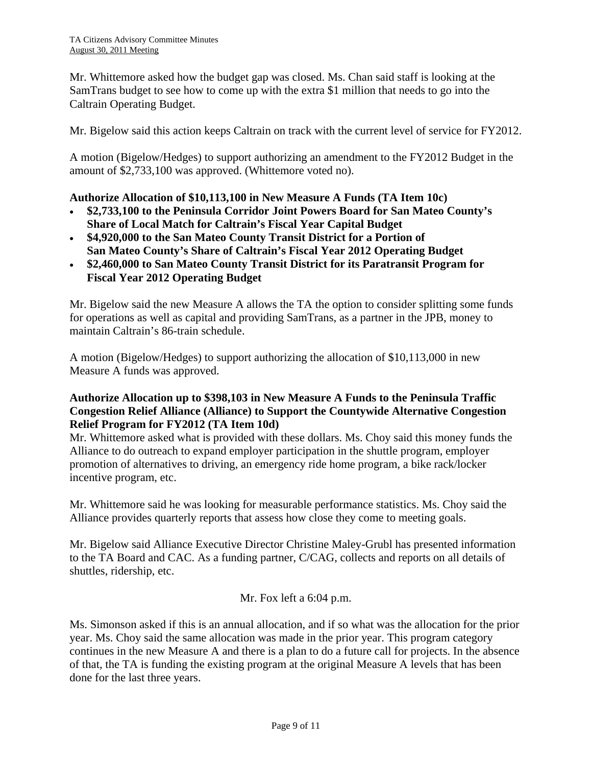Mr. Whittemore asked how the budget gap was closed. Ms. Chan said staff is looking at the SamTrans budget to see how to come up with the extra \$1 million that needs to go into the Caltrain Operating Budget.

Mr. Bigelow said this action keeps Caltrain on track with the current level of service for FY2012.

A motion (Bigelow/Hedges) to support authorizing an amendment to the FY2012 Budget in the amount of \$2,733,100 was approved. (Whittemore voted no).

#### **Authorize Allocation of \$10,113,100 in New Measure A Funds (TA Item 10c)**

- **\$2,733,100 to the Peninsula Corridor Joint Powers Board for San Mateo County's Share of Local Match for Caltrain's Fiscal Year Capital Budget**
- **\$4,920,000 to the San Mateo County Transit District for a Portion of San Mateo County's Share of Caltrain's Fiscal Year 2012 Operating Budget**
- **\$2,460,000 to San Mateo County Transit District for its Paratransit Program for Fiscal Year 2012 Operating Budget**

Mr. Bigelow said the new Measure A allows the TA the option to consider splitting some funds for operations as well as capital and providing SamTrans, as a partner in the JPB, money to maintain Caltrain's 86-train schedule.

A motion (Bigelow/Hedges) to support authorizing the allocation of \$10,113,000 in new Measure A funds was approved.

### **Authorize Allocation up to \$398,103 in New Measure A Funds to the Peninsula Traffic Congestion Relief Alliance (Alliance) to Support the Countywide Alternative Congestion Relief Program for FY2012 (TA Item 10d)**

Mr. Whittemore asked what is provided with these dollars. Ms. Choy said this money funds the Alliance to do outreach to expand employer participation in the shuttle program, employer promotion of alternatives to driving, an emergency ride home program, a bike rack/locker incentive program, etc.

Mr. Whittemore said he was looking for measurable performance statistics. Ms. Choy said the Alliance provides quarterly reports that assess how close they come to meeting goals.

Mr. Bigelow said Alliance Executive Director Christine Maley-Grubl has presented information to the TA Board and CAC. As a funding partner, C/CAG, collects and reports on all details of shuttles, ridership, etc.

Mr. Fox left a 6:04 p.m.

Ms. Simonson asked if this is an annual allocation, and if so what was the allocation for the prior year. Ms. Choy said the same allocation was made in the prior year. This program category continues in the new Measure A and there is a plan to do a future call for projects. In the absence of that, the TA is funding the existing program at the original Measure A levels that has been done for the last three years.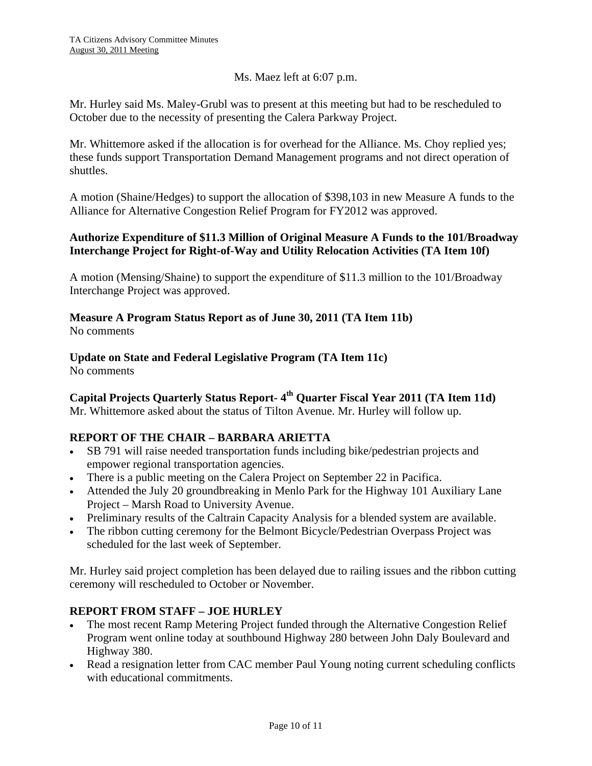Ms. Maez left at 6:07 p.m.

Mr. Hurley said Ms. Maley-Grubl was to present at this meeting but had to be rescheduled to October due to the necessity of presenting the Calera Parkway Project.

Mr. Whittemore asked if the allocation is for overhead for the Alliance. Ms. Choy replied yes; these funds support Transportation Demand Management programs and not direct operation of shuttles.

A motion (Shaine/Hedges) to support the allocation of \$398,103 in new Measure A funds to the Alliance for Alternative Congestion Relief Program for FY2012 was approved.

#### **Authorize Expenditure of \$11.3 Million of Original Measure A Funds to the 101/Broadway Interchange Project for Right-of-Way and Utility Relocation Activities (TA Item 10f)**

A motion (Mensing/Shaine) to support the expenditure of \$11.3 million to the 101/Broadway Interchange Project was approved.

#### **Measure A Program Status Report as of June 30, 2011 (TA Item 11b)**  No comments

# **Update on State and Federal Legislative Program (TA Item 11c)**

No comments

Capital Projects Quarterly Status Report- 4<sup>th</sup> Quarter Fiscal Year 2011 (TA Item 11d) Mr. Whittemore asked about the status of Tilton Avenue. Mr. Hurley will follow up.

# **REPORT OF THE CHAIR – BARBARA ARIETTA**

- SB 791 will raise needed transportation funds including bike/pedestrian projects and empower regional transportation agencies.
- There is a public meeting on the Calera Project on September 22 in Pacifica.
- Attended the July 20 groundbreaking in Menlo Park for the Highway 101 Auxiliary Lane Project – Marsh Road to University Avenue.
- Preliminary results of the Caltrain Capacity Analysis for a blended system are available.
- The ribbon cutting ceremony for the Belmont Bicycle/Pedestrian Overpass Project was scheduled for the last week of September.

Mr. Hurley said project completion has been delayed due to railing issues and the ribbon cutting ceremony will rescheduled to October or November.

# **REPORT FROM STAFF – JOE HURLEY**

- The most recent Ramp Metering Project funded through the Alternative Congestion Relief Program went online today at southbound Highway 280 between John Daly Boulevard and Highway 380.
- Read a resignation letter from CAC member Paul Young noting current scheduling conflicts with educational commitments.